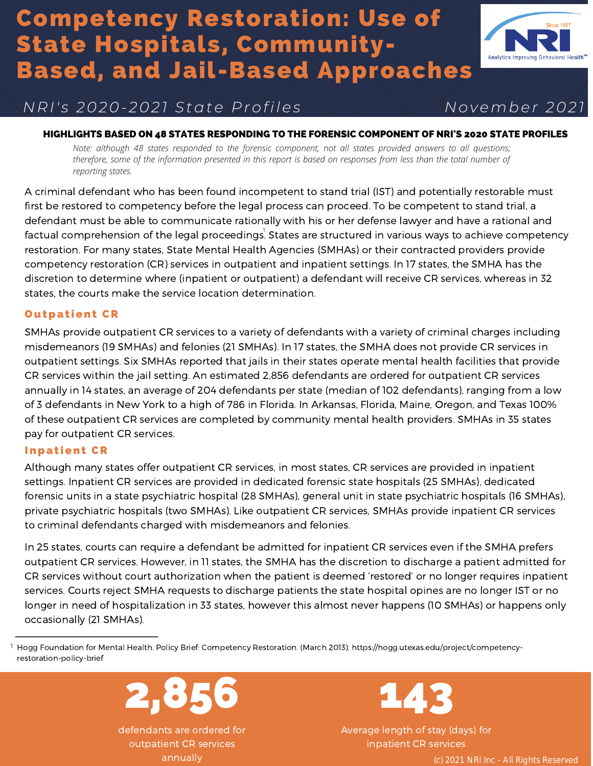# Competency Restoration: Use of State Hospitals, Community-Based, and Jail-Based Approaches



# *N R I ' s 2 0 2 0 - 2 0 2 1 S t a t e P r o f i l e s N o v e m b e r 2 0 2 1*

#### HIGHLIGHTS BASED ON 48 STATES RESPONDING TO THE FORENSIC COMPONENT OF NRI'S 2020 STATE PROFILES

*Note: although 48 states responded to the forensic component, not all states provided answers to all questions; therefore, some of the information presented in this report is based on responses from less than the total number of reporting states.*

A criminal defendant who has been found incompetent to stand trial (IST) and potentially restorable must first be restored to competency before the legal process can proceed. To be competent to stand trial, a defendant must be able to communicate rationally with his or her defense lawyer and have a rational and factual comprehension of the legal proceedings $\stackrel{!}{.}$  States are structured in various ways to achieve competency restoration. For many states, State Mental Health Agencies (SMHAs) or their contracted providers provide competency restoration (CR) services in outpatient and inpatient settings. In 17 states, the SMHA has the discretion to determine where (inpatient or outpatient) a defendant will receive CR services, whereas in 32 states, the courts make the service location determination.

## **Outpatient CR**

SMHAs provide outpatient CR services to a variety of defendants with a variety of criminal charges including misdemeanors (19 SMHAs) and felonies (21 SMHAs). In 17 states, the SMHA does not provide CR services in outpatient settings. Six SMHAs reported that jails in their states operate mental health facilities that provide CR services within the jail setting. An estimated 2,856 defendants are ordered for outpatient CR services annually in 14 states, an average of 204 defendants per state (median of 102 defendants), ranging from a low of 3 defendants in New York to a high of 786 in Florida. In Arkansas, Florida, Maine, Oregon, and Texas 100% of these outpatient CR services are completed by community mental health providers. [SMHAs](https://www.nri-inc.org/umbraco/api/profiles/download?key=3fa728de-0cc7-495a-8b94-cfc1d3e34627) in 35 states pay for [outpatient](https://www.nri-inc.org/umbraco/api/profiles/download?key=3fa728de-0cc7-495a-8b94-cfc1d3e34627) CR services.

## **Inpatient CR**

Although many states offer outpatient CR services, in most states, CR services are provided in inpatient settings. Inpatient CR services are provided in dedicated forensic state hospitals (25 SMHAs), dedicated forensic units in a state psychiatric hospital (28 SMHAs), general unit in state psychiatric hospitals (16 SMHAs), private psychiatric hospitals (two SMHAs). Like outpatient CR services, SMHAs provide inpatient CR services to criminal defendants charged with misdemeanors and felonies.

In 25 states, courts can require a defendant be admitted for inpatient CR services even if the SMHA prefers outpatient CR services. However, in 11 states, the SMHA has the discretion to discharge a patient admitted for CR services without court authorization when the patient is deemed 'restored' or no longer requires inpatient services. Courts reject SMHA requests to discharge patients the state hospital opines are no longer IST or no longer in need of hospitalization in 33 states, however this almost never happens (10 SMHAs) or happens only occasionally (21 SMHAs).

t Hogg Foundation for Mental Health. Policy Brief: Competency Restoration. (March [2013\). https://hogg.utexas.edu/project/competency](https://hogg.utexas.edu/project/competency-restoration-policy-brief)restoration-policy-brief



defendants are ordered for outpatient CR services annually



Average length of stay (days) for inpatient CR services

(c) 2021 NRI Inc - All Rights Reserved